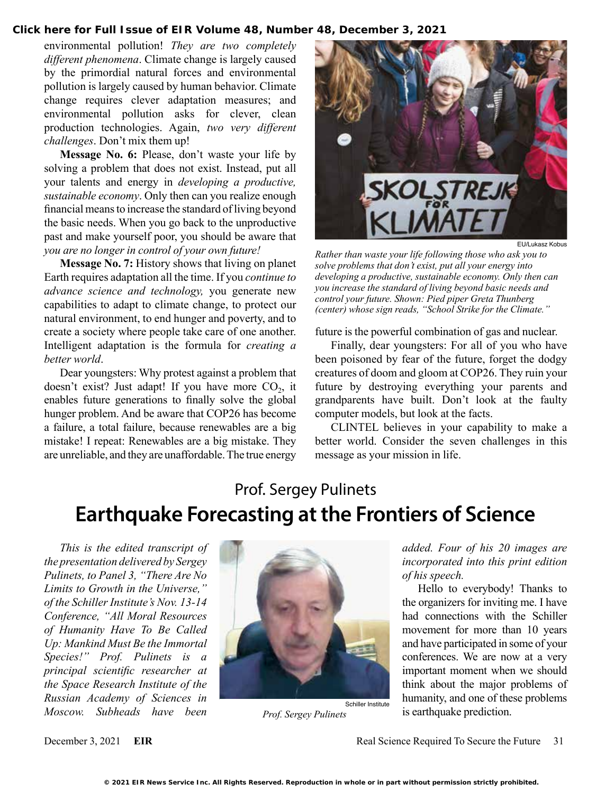**[Click here for Full Issue of EIR Volume 48, Number 48, December 3, 2021](http://www.larouchepub.com/eiw/public/2021/eirv48n48-20211203/index.html)**

environmental pollution! *They are two completely different phenomena*. Climate change is largely caused by the primordial natural forces and environmental pollution is largely caused by human behavior. Climate change requires clever adaptation measures; and environmental pollution asks for clever, clean production technologies. Again, *two very different challenges*. Don't mix them up!

**Message No. 6:** Please, don't waste your life by solving a problem that does not exist. Instead, put all your talents and energy in *developing a productive, sustainable economy*. Only then can you realize enough financial means to increase the standard of living beyond the basic needs. When you go back to the unproductive past and make yourself poor, you should be aware that *you are no longer in control of your own future!*

**Message No. 7:** History shows that living on planet Earth requires adaptation all the time. If you *continue to advance science and technology,* you generate new capabilities to adapt to climate change, to protect our natural environment, to end hunger and poverty, and to create a society where people take care of one another. Intelligent adaptation is the formula for *creating a better world*.

Dear youngsters: Why protest against a problem that doesn't exist? Just adapt! If you have more  $CO<sub>2</sub>$ , it enables future generations to finally solve the global hunger problem. And be aware that COP26 has become a failure, a total failure, because renewables are a big mistake! I repeat: Renewables are a big mistake. They are unreliable, and they are unaffordable. The true energy



EU/Lukasz Kobus

*Rather than waste your life following those who ask you to solve problems that don't exist, put all your energy into developing a productive, sustainable economy. Only then can you increase the standard of living beyond basic needs and control your future. Shown: Pied piper Greta Thunberg (center) whose sign reads, "School Strike for the Climate."*

future is the powerful combination of gas and nuclear.

Finally, dear youngsters: For all of you who have been poisoned by fear of the future, forget the dodgy creatures of doom and gloom at COP26. They ruin your future by destroying everything your parents and grandparents have built. Don't look at the faulty computer models, but look at the facts.

CLINTEL believes in your capability to make a better world. Consider the seven challenges in this message as your mission in life.

# Prof. Sergey Pulinets **Earthquake Forecasting at the Frontiers of Science**

*This is the edited transcript of the presentation delivered by Sergey Pulinets, to Panel 3, "There Are No Limits to Growth in the Universe," of the Schiller Institute's Nov. 13-14 Conference, "All Moral Resources of Humanity Have To Be Called Up: Mankind Must Be the Immortal Species!" Prof. Pulinets is a principal scientific researcher at the Space Research Institute of the Russian Academy of Sciences in Moscow. Subheads have been* 



*Prof. Sergey Pulinets*

*added. Four of his 20 images are incorporated into this print edition of his speech.*

Hello to everybody! Thanks to the organizers for inviting me. I have had connections with the Schiller movement for more than 10 years and have participated in some of your conferences. We are now at a very important moment when we should think about the major problems of humanity, and one of these problems is earthquake prediction.

December 3, 2021 **EIR** Real Science Required To Secure the Future 31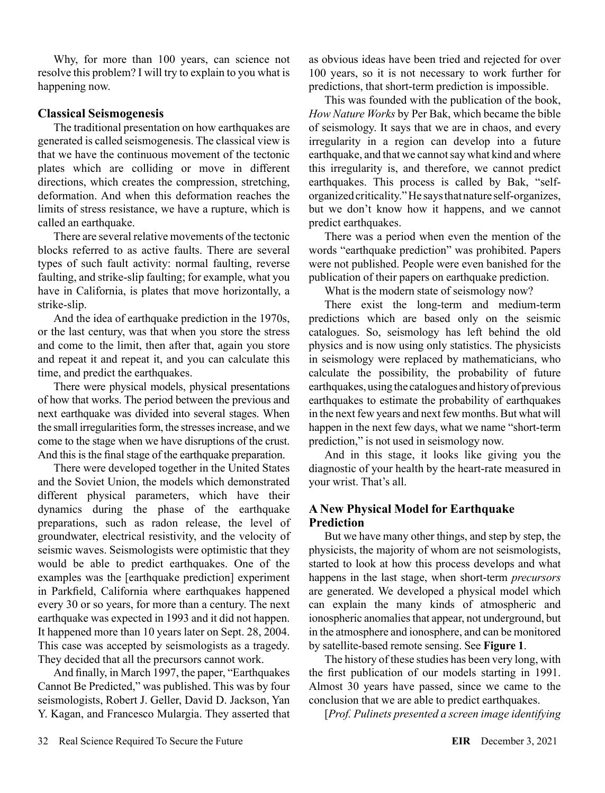Why, for more than 100 years, can science not resolve this problem? I will try to explain to you what is happening now.

## **Classical Seismogenesis**

The traditional presentation on how earthquakes are generated is called seismogenesis. The classical view is that we have the continuous movement of the tectonic plates which are colliding or move in different directions, which creates the compression, stretching, deformation. And when this deformation reaches the limits of stress resistance, we have a rupture, which is called an earthquake.

There are several relative movements of the tectonic blocks referred to as active faults. There are several types of such fault activity: normal faulting, reverse faulting, and strike-slip faulting; for example, what you have in California, is plates that move horizontally, a strike-slip.

And the idea of earthquake prediction in the 1970s, or the last century, was that when you store the stress and come to the limit, then after that, again you store and repeat it and repeat it, and you can calculate this time, and predict the earthquakes.

There were physical models, physical presentations of how that works. The period between the previous and next earthquake was divided into several stages. When the small irregularities form, the stresses increase, and we come to the stage when we have disruptions of the crust. And this is the final stage of the earthquake preparation.

There were developed together in the United States and the Soviet Union, the models which demonstrated different physical parameters, which have their dynamics during the phase of the earthquake preparations, such as radon release, the level of groundwater, electrical resistivity, and the velocity of seismic waves. Seismologists were optimistic that they would be able to predict earthquakes. One of the examples was the [earthquake prediction] experiment in Parkfield, California where earthquakes happened every 30 or so years, for more than a century. The next earthquake was expected in 1993 and it did not happen. It happened more than 10 years later on Sept. 28, 2004. This case was accepted by seismologists as a tragedy. They decided that all the precursors cannot work.

And finally, in March 1997, the paper, "Earthquakes Cannot Be Predicted," was published. This was by four seismologists, Robert J. Geller, David D. Jackson, Yan Y. Kagan, and Francesco Mulargia. They asserted that as obvious ideas have been tried and rejected for over 100 years, so it is not necessary to work further for predictions, that short-term prediction is impossible.

This was founded with the publication of the book, *How Nature Works* by Per Bak, which became the bible of seismology. It says that we are in chaos, and every irregularity in a region can develop into a future earthquake, and that we cannot say what kind and where this irregularity is, and therefore, we cannot predict earthquakes. This process is called by Bak, "selforganized criticality." He says that nature self-organizes, but we don't know how it happens, and we cannot predict earthquakes.

There was a period when even the mention of the words "earthquake prediction" was prohibited. Papers were not published. People were even banished for the publication of their papers on earthquake prediction.

What is the modern state of seismology now?

There exist the long-term and medium-term predictions which are based only on the seismic catalogues. So, seismology has left behind the old physics and is now using only statistics. The physicists in seismology were replaced by mathematicians, who calculate the possibility, the probability of future earthquakes, using the catalogues and history of previous earthquakes to estimate the probability of earthquakes in the next few years and next few months. But what will happen in the next few days, what we name "short-term prediction," is not used in seismology now.

And in this stage, it looks like giving you the diagnostic of your health by the heart-rate measured in your wrist. That's all.

## **A New Physical Model for Earthquake Prediction**

But we have many other things, and step by step, the physicists, the majority of whom are not seismologists, started to look at how this process develops and what happens in the last stage, when short-term *precursors* are generated. We developed a physical model which can explain the many kinds of atmospheric and ionospheric anomalies that appear, not underground, but in the atmosphere and ionosphere, and can be monitored by satellite-based remote sensing. See **Figure 1**.

The history of these studies has been very long, with the first publication of our models starting in 1991. Almost 30 years have passed, since we came to the conclusion that we are able to predict earthquakes.

[*Prof. Pulinets presented a screen image identifying*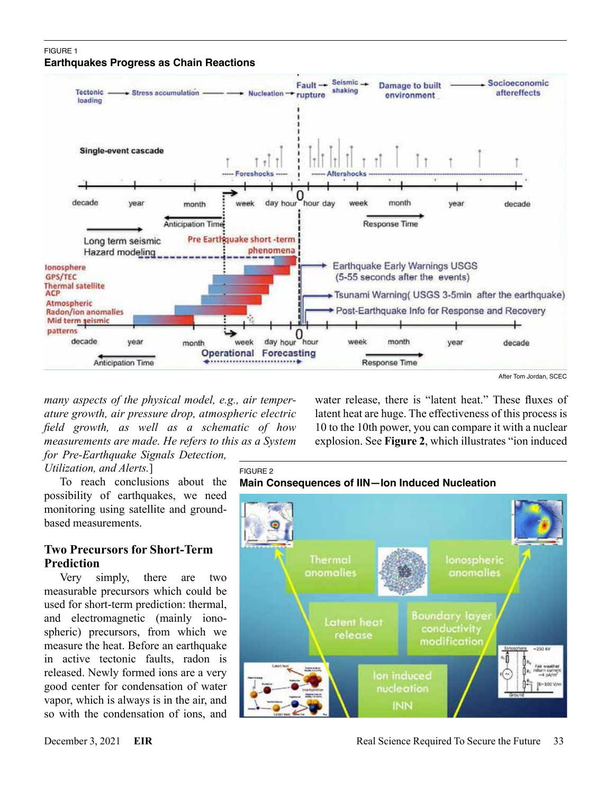#### FIGURE 1 **Earthquakes Progress as Chain Reactions**



*many aspects of the physical model, e.g., air temperature growth, air pressure drop, atmospheric electric field growth, as well as a schematic of how measurements are made. He refers to this as a System for Pre-Earthquake Signals Detection,* 

FIGURE 2

*Utilization, and Alerts.*]

To reach conclusions about the possibility of earthquakes, we need monitoring using satellite and groundbased measurements.

### **Two Precursors for Short-Term Prediction**

Very simply, there are two measurable precursors which could be used for short-term prediction: thermal, and electromagnetic (mainly ionospheric) precursors, from which we measure the heat. Before an earthquake in active tectonic faults, radon is released. Newly formed ions are a very good center for condensation of water vapor, which is always is in the air, and so with the condensation of ions, and

water release, there is "latent heat." These fluxes of latent heat are huge. The effectiveness of this process is 10 to the 10th power, you can compare it with a nuclear explosion. See **Figure 2**, which illustrates "ion induced

# **Main Consequences of IIN—Ion Induced Nucleation**

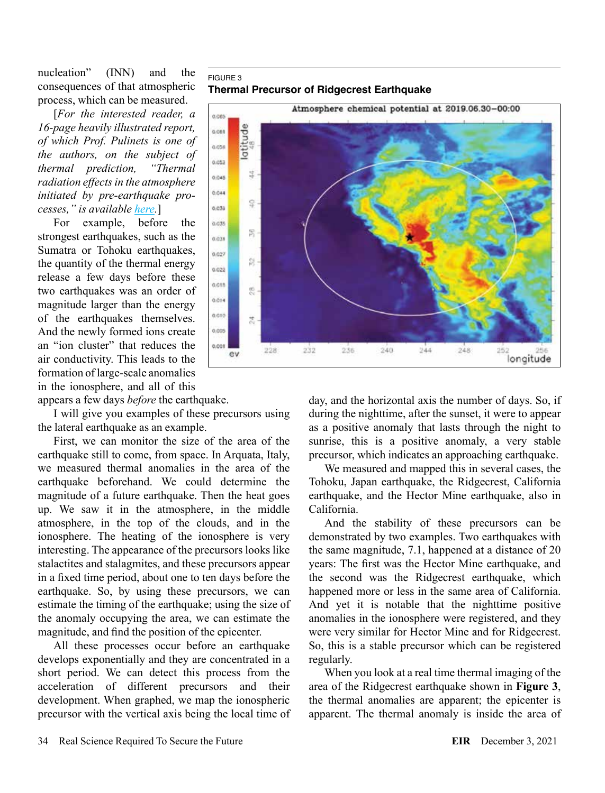nucleation" (INN) and the consequences of that atmospheric process, which can be measured.

[*For the interested reader, a 16-page heavily illustrated report, of which Prof. Pulinets is one of the authors, on the subject of thermal prediction, "Thermal radiation effects in the atmosphere initiated by pre-earthquake processes," is available [here](https://www.ursi.org/proceedings/procGA20/presentations/Dimitar_Ouzounov_Thermal_Radiation2.pdf).*]

For example, before the strongest earthquakes, such as the Sumatra or Tohoku earthquakes, the quantity of the thermal energy release a few days before these two earthquakes was an order of magnitude larger than the energy of the earthquakes themselves. And the newly formed ions create an "ion cluster" that reduces the air conductivity. This leads to the formation of large-scale anomalies in the ionosphere, and all of this

appears a few days *before* the earthquake.

I will give you examples of these precursors using the lateral earthquake as an example.

First, we can monitor the size of the area of the earthquake still to come, from space. In Arquata, Italy, we measured thermal anomalies in the area of the earthquake beforehand. We could determine the magnitude of a future earthquake. Then the heat goes up. We saw it in the atmosphere, in the middle atmosphere, in the top of the clouds, and in the ionosphere. The heating of the ionosphere is very interesting. The appearance of the precursors looks like stalactites and stalagmites, and these precursors appear in a fixed time period, about one to ten days before the earthquake. So, by using these precursors, we can estimate the timing of the earthquake; using the size of the anomaly occupying the area, we can estimate the magnitude, and find the position of the epicenter.

All these processes occur before an earthquake develops exponentially and they are concentrated in a short period. We can detect this process from the acceleration of different precursors and their development. When graphed, we map the ionospheric precursor with the vertical axis being the local time of

#### FIGURE 3 **Thermal Precursor of Ridgecrest Earthquake**



day, and the horizontal axis the number of days. So, if during the nighttime, after the sunset, it were to appear as a positive anomaly that lasts through the night to sunrise, this is a positive anomaly, a very stable precursor, which indicates an approaching earthquake.

We measured and mapped this in several cases, the Tohoku, Japan earthquake, the Ridgecrest, California earthquake, and the Hector Mine earthquake, also in California.

And the stability of these precursors can be demonstrated by two examples. Two earthquakes with the same magnitude, 7.1, happened at a distance of 20 years: The first was the Hector Mine earthquake, and the second was the Ridgecrest earthquake, which happened more or less in the same area of California. And yet it is notable that the nighttime positive anomalies in the ionosphere were registered, and they were very similar for Hector Mine and for Ridgecrest. So, this is a stable precursor which can be registered regularly.

When you look at a real time thermal imaging of the area of the Ridgecrest earthquake shown in **Figure 3**, the thermal anomalies are apparent; the epicenter is apparent. The thermal anomaly is inside the area of